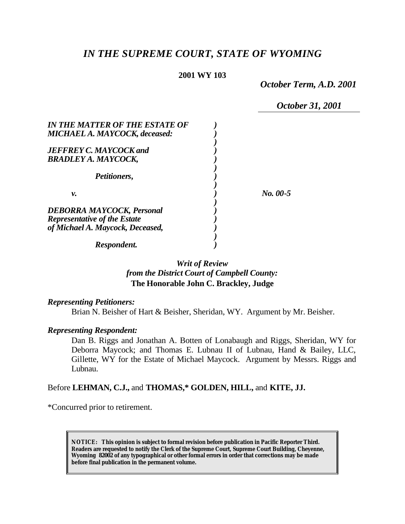# *IN THE SUPREME COURT, STATE OF WYOMING*

#### **2001 WY 103**

*October Term, A.D. 2001*

*October 31, 2001*

| IN THE MATTER OF THE ESTATE OF                                          |          |
|-------------------------------------------------------------------------|----------|
| <b>MICHAEL A. MAYCOCK, deceased:</b>                                    |          |
| <b>JEFFREY C. MAYCOCK and</b>                                           |          |
| <b>BRADLEY A. MAYCOCK,</b>                                              |          |
| <i>Petitioners,</i>                                                     |          |
| ν.                                                                      | No. 00-5 |
| <b>DEBORRA MAYCOCK, Personal</b>                                        |          |
| <b>Representative of the Estate</b><br>of Michael A. Maycock, Deceased, |          |
|                                                                         |          |
| Respondent.                                                             |          |

# *Writ of Review from the District Court of Campbell County:* **The Honorable John C. Brackley, Judge**

#### *Representing Petitioners:*

Brian N. Beisher of Hart & Beisher, Sheridan, WY. Argument by Mr. Beisher.

#### *Representing Respondent:*

Dan B. Riggs and Jonathan A. Botten of Lonabaugh and Riggs, Sheridan, WY for Deborra Maycock; and Thomas E. Lubnau II of Lubnau, Hand & Bailey, LLC, Gillette, WY for the Estate of Michael Maycock. Argument by Messrs. Riggs and Lubnau.

#### Before **LEHMAN, C.J.,** and **THOMAS,\* GOLDEN, HILL,** and **KITE, JJ.**

\*Concurred prior to retirement.

**NOTICE:** *This opinion is subject to formal revision before publication in Pacific Reporter Third. Readers are requested to notify the Clerk of the Supreme Court, Supreme Court Building, Cheyenne, Wyoming 82002 of any typographical or other formal errors in order that corrections may be made before final publication in the permanent volume.*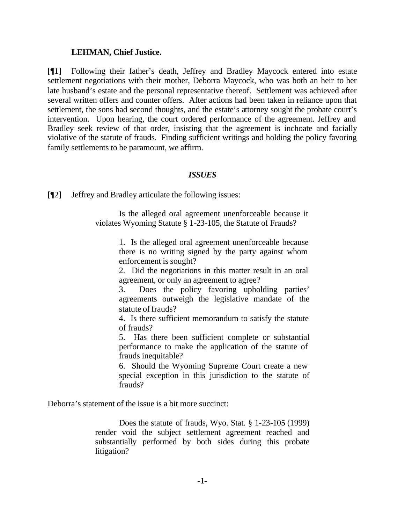#### **LEHMAN, Chief Justice.**

[¶1] Following their father's death, Jeffrey and Bradley Maycock entered into estate settlement negotiations with their mother, Deborra Maycock, who was both an heir to her late husband's estate and the personal representative thereof. Settlement was achieved after several written offers and counter offers. After actions had been taken in reliance upon that settlement, the sons had second thoughts, and the estate's attorney sought the probate court's intervention. Upon hearing, the court ordered performance of the agreement. Jeffrey and Bradley seek review of that order, insisting that the agreement is inchoate and facially violative of the statute of frauds. Finding sufficient writings and holding the policy favoring family settlements to be paramount, we affirm.

#### *ISSUES*

[¶2] Jeffrey and Bradley articulate the following issues:

Is the alleged oral agreement unenforceable because it violates Wyoming Statute § 1-23-105, the Statute of Frauds?

> 1. Is the alleged oral agreement unenforceable because there is no writing signed by the party against whom enforcement is sought?

> 2. Did the negotiations in this matter result in an oral agreement, or only an agreement to agree?

> 3. Does the policy favoring upholding parties' agreements outweigh the legislative mandate of the statute of frauds?

> 4. Is there sufficient memorandum to satisfy the statute of frauds?

> 5. Has there been sufficient complete or substantial performance to make the application of the statute of frauds inequitable?

> 6. Should the Wyoming Supreme Court create a new special exception in this jurisdiction to the statute of frauds?

Deborra's statement of the issue is a bit more succinct:

Does the statute of frauds, Wyo. Stat. § 1-23-105 (1999) render void the subject settlement agreement reached and substantially performed by both sides during this probate litigation?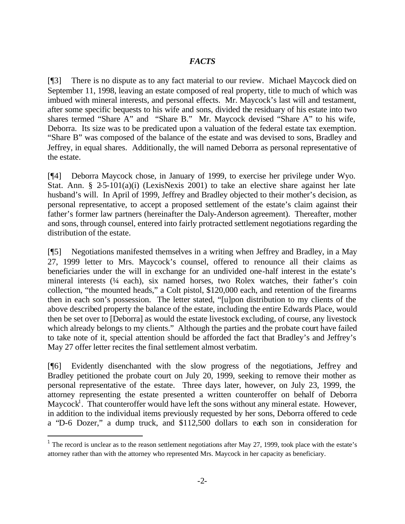# *FACTS*

[¶3] There is no dispute as to any fact material to our review. Michael Maycock died on September 11, 1998, leaving an estate composed of real property, title to much of which was imbued with mineral interests, and personal effects. Mr. Maycock's last will and testament, after some specific bequests to his wife and sons, divided the residuary of his estate into two shares termed "Share A" and "Share B." Mr. Maycock devised "Share A" to his wife, Deborra. Its size was to be predicated upon a valuation of the federal estate tax exemption. "Share B" was composed of the balance of the estate and was devised to sons, Bradley and Jeffrey, in equal shares. Additionally, the will named Deborra as personal representative of the estate.

[¶4] Deborra Maycock chose, in January of 1999, to exercise her privilege under Wyo. Stat. Ann. § 2-5-101(a)(i) (LexisNexis 2001) to take an elective share against her late husband's will. In April of 1999, Jeffrey and Bradley objected to their mother's decision, as personal representative, to accept a proposed settlement of the estate's claim against their father's former law partners (hereinafter the Daly-Anderson agreement). Thereafter, mother and sons, through counsel, entered into fairly protracted settlement negotiations regarding the distribution of the estate.

[¶5] Negotiations manifested themselves in a writing when Jeffrey and Bradley, in a May 27, 1999 letter to Mrs. Maycock's counsel, offered to renounce all their claims as beneficiaries under the will in exchange for an undivided one-half interest in the estate's mineral interests (¼ each), six named horses, two Rolex watches, their father's coin collection, "the mounted heads," a Colt pistol, \$120,000 each, and retention of the firearms then in each son's possession. The letter stated, "[u]pon distribution to my clients of the above described property the balance of the estate, including the entire Edwards Place, would then be set over to [Deborra] as would the estate livestock excluding, of course, any livestock which already belongs to my clients." Although the parties and the probate court have failed to take note of it, special attention should be afforded the fact that Bradley's and Jeffrey's May 27 offer letter recites the final settlement almost verbatim.

[¶6] Evidently disenchanted with the slow progress of the negotiations, Jeffrey and Bradley petitioned the probate court on July 20, 1999, seeking to remove their mother as personal representative of the estate. Three days later, however, on July 23, 1999, the attorney representing the estate presented a written counteroffer on behalf of Deborra Maycock<sup>1</sup>. That counteroffer would have left the sons without any mineral estate. However, in addition to the individual items previously requested by her sons, Deborra offered to cede a "D-6 Dozer," a dump truck, and \$112,500 dollars to each son in consideration for

l

<sup>&</sup>lt;sup>1</sup> The record is unclear as to the reason settlement negotiations after May 27, 1999, took place with the estate's attorney rather than with the attorney who represented Mrs. Maycock in her capacity as beneficiary.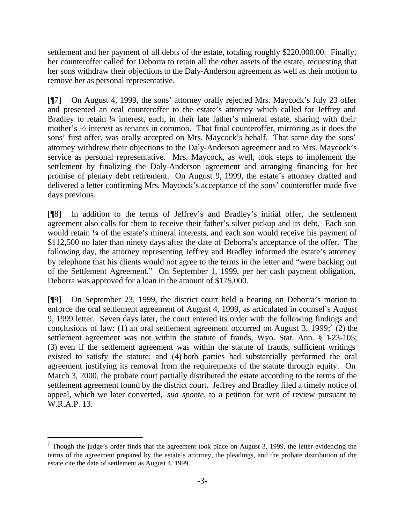settlement and her payment of all debts of the estate, totaling roughly \$220,000.00. Finally, her counteroffer called for Deborra to retain all the other assets of the estate, requesting that her sons withdraw their objections to the Daly-Anderson agreement as well as their motion to remove her as personal representative.

[¶7] On August 4, 1999, the sons' attorney orally rejected Mrs. Maycock's July 23 offer and presented an oral counteroffer to the estate's attorney which called for Jeffrey and Bradley to retain 1/4 interest, each, in their late father's mineral estate, sharing with their mother's ½ interest as tenants in common. That final counteroffer, mirroring as it does the sons' first offer, was orally accepted on Mrs. Maycock's behalf. That same day the sons' attorney withdrew their objections to the Daly-Anderson agreement and to Mrs. Maycock's service as personal representative. Mrs. Maycock, as well, took steps to implement the settlement by finalizing the Daly-Anderson agreement and arranging financing for her promise of plenary debt retirement. On August 9, 1999, the estate's attorney drafted and delivered a letter confirming Mrs. Maycock's acceptance of the sons' counteroffer made five days previous.

[¶8] In addition to the terms of Jeffrey's and Bradley's initial offer, the settlement agreement also calls for them to receive their father's silver pickup and its debt. Each son would retain ¼ of the estate's mineral interests, and each son would receive his payment of \$112,500 no later than ninety days after the date of Deborra's acceptance of the offer. The following day, the attorney representing Jeffrey and Bradley informed the estate's attorney by telephone that his clients would not agree to the terms in the letter and "were backing out of the Settlement Agreement." On September 1, 1999, per her cash payment obligation, Deborra was approved for a loan in the amount of \$175,000.

[¶9] On September 23, 1999, the district court held a hearing on Deborra's motion to enforce the oral settlement agreement of August 4, 1999, as articulated in counsel's August 9, 1999 letter. Seven days later, the court entered its order with the following findings and conclusions of law: (1) an oral settlement agreement occurred on August 3, 1999;  $\overline{c}(2)$  the settlement agreement was not within the statute of frauds, Wyo. Stat. Ann. § 1-23-105; (3) even if the settlement agreement was within the statute of frauds, sufficient writings existed to satisfy the statute; and (4) both parties had substantially performed the oral agreement justifying its removal from the requirements of the statute through equity. On March 3, 2000, the probate court partially distributed the estate according to the terms of the settlement agreement found by the district court. Jeffrey and Bradley filed a timely notice of appeal, which we later converted, *sua sponte*, to a petition for writ of review pursuant to W.R.A.P. 13.

l

<sup>&</sup>lt;sup>2</sup> Though the judge's order finds that the agreement took place on August 3, 1999, the letter evidencing the terms of the agreement prepared by the estate's attorney, the pleadings, and the probate distribution of the estate cite the date of settlement as August 4, 1999.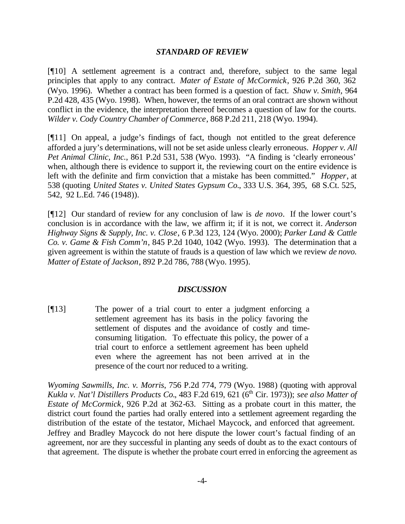#### *STANDARD OF REVIEW*

[¶10] A settlement agreement is a contract and, therefore, subject to the same legal principles that apply to any contract. *Mater of Estate of McCormick*, 926 P.2d 360, 362 (Wyo. 1996). Whether a contract has been formed is a question of fact. *Shaw v. Smith,* 964 P.2d 428, 435 (Wyo. 1998). When, however, the terms of an oral contract are shown without conflict in the evidence, the interpretation thereof becomes a question of law for the courts. *Wilder v. Cody Country Chamber of Commerce*, 868 P.2d 211, 218 (Wyo. 1994).

[¶11] On appeal, a judge's findings of fact, though not entitled to the great deference afforded a jury's determinations, will not be set aside unless clearly erroneous. *Hopper v. All Pet Animal Clinic, Inc.*, 861 P.2d 531, 538 (Wyo. 1993). "A finding is 'clearly erroneous' when, although there is evidence to support it, the reviewing court on the entire evidence is left with the definite and firm conviction that a mistake has been committed." *Hopper*, at 538 (quoting *United States v. United States Gypsum Co.*, 333 U.S. 364, 395, 68 S.Ct. 525, 542, 92 L.Ed. 746 (1948)).

[¶12] Our standard of review for any conclusion of law is *de novo*. If the lower court's conclusion is in accordance with the law, we affirm it; if it is not, we correct it*. Anderson Highway Signs & Supply, Inc. v. Close*, 6 P.3d 123, 124 (Wyo. 2000); *Parker Land & Cattle Co. v. Game & Fish Comm'n*, 845 P.2d 1040, 1042 (Wyo. 1993). The determination that a given agreement is within the statute of frauds is a question of law which we review *de novo. Matter of Estate of Jackson*, 892 P.2d 786, 788 (Wyo. 1995).

#### *DISCUSSION*

[¶13] The power of a trial court to enter a judgment enforcing a settlement agreement has its basis in the policy favoring the settlement of disputes and the avoidance of costly and timeconsuming litigation. To effectuate this policy, the power of a trial court to enforce a settlement agreement has been upheld even where the agreement has not been arrived at in the presence of the court nor reduced to a writing.

*Wyoming Sawmills, Inc. v. Morris*, 756 P.2d 774, 779 (Wyo. 1988) (quoting with approval *Kukla v. Nat'l Distillers Products Co.*, 483 F.2d 619, 621 (6<sup>th</sup> Cir. 1973)); *see also Matter of Estate of McCormick*, 926 P.2d at 362-63. Sitting as a probate court in this matter, the district court found the parties had orally entered into a settlement agreement regarding the distribution of the estate of the testator, Michael Maycock, and enforced that agreement. Jeffrey and Bradley Maycock do not here dispute the lower court's factual finding of an agreement, nor are they successful in planting any seeds of doubt as to the exact contours of that agreement. The dispute is whether the probate court erred in enforcing the agreement as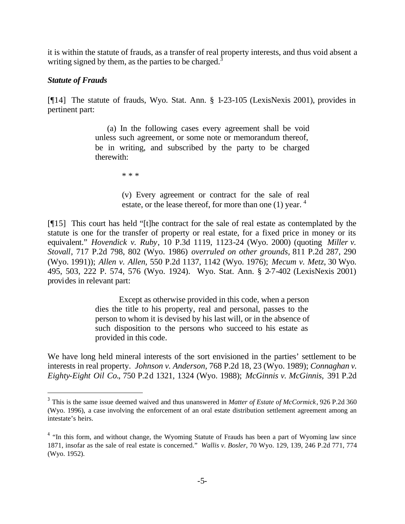it is within the statute of frauds, as a transfer of real property interests, and thus void absent a writing signed by them, as the parties to be charged.<sup>3</sup>

### *Statute of Frauds*

l

[¶14] The statute of frauds, Wyo. Stat. Ann. § 1-23-105 (LexisNexis 2001), provides in pertinent part:

> (a) In the following cases every agreement shall be void unless such agreement, or some note or memorandum thereof, be in writing, and subscribed by the party to be charged therewith:

> > \* \* \*

(v) Every agreement or contract for the sale of real estate, or the lease thereof, for more than one (1) year. <sup>4</sup>

[¶15] This court has held "[t]he contract for the sale of real estate as contemplated by the statute is one for the transfer of property or real estate, for a fixed price in money or its equivalent." *Hovendick v. Ruby*, 10 P.3d 1119, 1123-24 (Wyo. 2000) (quoting *Miller v. Stovall*, 717 P.2d 798, 802 (Wyo. 1986) *overruled on other grounds,* 811 P.2d 287, 290 (Wyo. 1991)); *Allen v. Allen*, 550 P.2d 1137, 1142 (Wyo. 1976); *Mecum v. Metz*, 30 Wyo. 495, 503, 222 P. 574, 576 (Wyo. 1924). Wyo. Stat. Ann. § 2-7-402 (LexisNexis 2001) provides in relevant part:

> Except as otherwise provided in this code, when a person dies the title to his property, real and personal, passes to the person to whom it is devised by his last will, or in the absence of such disposition to the persons who succeed to his estate as provided in this code.

We have long held mineral interests of the sort envisioned in the parties' settlement to be interests in real property. *Johnson v. Anderson,* 768 P.2d 18, 23 (Wyo. 1989); *Connaghan v. Eighty-Eight Oil Co.*, 750 P.2d 1321, 1324 (Wyo. 1988); *McGinnis v. McGinnis,* 391 P.2d

<sup>3</sup> This is the same issue deemed waived and thus unanswered in *Matter of Estate of McCormick*, 926 P.2d 360 (Wyo. 1996), a case involving the enforcement of an oral estate distribution settlement agreement among an intestate's heirs.

<sup>&</sup>lt;sup>4</sup> "In this form, and without change, the Wyoming Statute of Frauds has been a part of Wyoming law since 1871, insofar as the sale of real estate is concerned." *Wallis v. Bosler*, 70 Wyo. 129, 139, 246 P.2d 771, 774 (Wyo. 1952).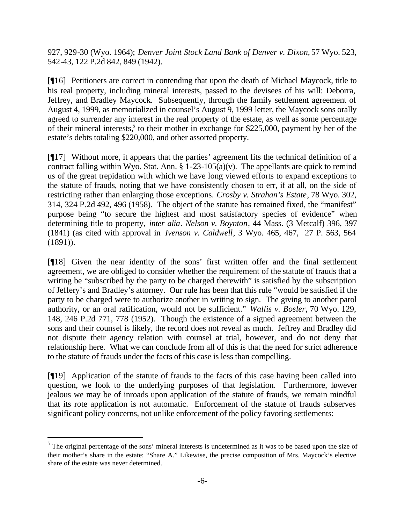927, 929-30 (Wyo. 1964); *Denver Joint Stock Land Bank of Denver v. Dixon,* 57 Wyo. 523, 542-43, 122 P.2d 842, 849 (1942).

[¶16] Petitioners are correct in contending that upon the death of Michael Maycock, title to his real property, including mineral interests, passed to the devisees of his will: Deborra, Jeffrey, and Bradley Maycock. Subsequently, through the family settlement agreement of August 4, 1999, as memorialized in counsel's August 9, 1999 letter, the Maycock sons orally agreed to surrender any interest in the real property of the estate, as well as some percentage of their mineral interests,<sup>5</sup> to their mother in exchange for \$225,000, payment by her of the estate's debts totaling \$220,000, and other assorted property.

[¶17] Without more, it appears that the parties' agreement fits the technical definition of a contract falling within Wyo. Stat. Ann.  $\S 1-23-105(a)(v)$ . The appellants are quick to remind us of the great trepidation with which we have long viewed efforts to expand exceptions to the statute of frauds, noting that we have consistently chosen to err, if at all, on the side of restricting rather than enlarging those exceptions. *Crosby v. Strahan's Estate*, 78 Wyo. 302, 314, 324 P.2d 492, 496 (1958). The object of the statute has remained fixed, the "manifest" purpose being "to secure the highest and most satisfactory species of evidence" when determining title to property, *inter alia*. *Nelson v. Boynton*, 44 Mass. (3 Metcalf) 396, 397 (1841) (as cited with approval in *Ivenson v. Caldwell*, 3 Wyo. 465, 467, 27 P. 563, 564 (1891)).

[¶18] Given the near identity of the sons' first written offer and the final settlement agreement, we are obliged to consider whether the requirement of the statute of frauds that a writing be "subscribed by the party to be charged therewith" is satisfied by the subscription of Jeffery's and Bradley's attorney. Our rule has been that this rule "would be satisfied if the party to be charged were to authorize another in writing to sign. The giving to another parol authority, or an oral ratification, would not be sufficient." *Wallis v. Bosler*, 70 Wyo. 129, 148, 246 P.2d 771, 778 (1952). Though the existence of a signed agreement between the sons and their counsel is likely, the record does not reveal as much. Jeffrey and Bradley did not dispute their agency relation with counsel at trial, however, and do not deny that relationship here. What we can conclude from all of this is that the need for strict adherence to the statute of frauds under the facts of this case is less than compelling.

[¶19] Application of the statute of frauds to the facts of this case having been called into question, we look to the underlying purposes of that legislation. Furthermore, however jealous we may be of inroads upon application of the statute of frauds, we remain mindful that its rote application is not automatic. Enforcement of the statute of frauds subserves significant policy concerns, not unlike enforcement of the policy favoring settlements:

l

<sup>&</sup>lt;sup>5</sup> The original percentage of the sons' mineral interests is undetermined as it was to be based upon the size of their mother's share in the estate: "Share A." Likewise, the precise composition of Mrs. Maycock's elective share of the estate was never determined.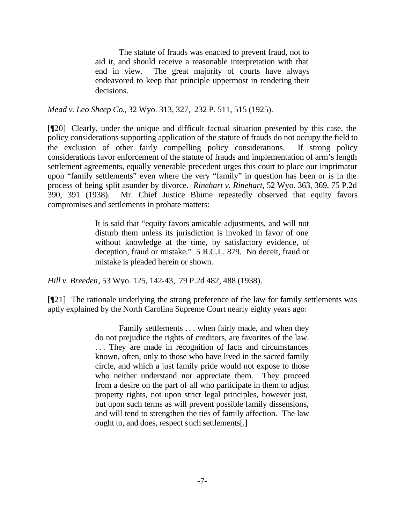The statute of frauds was enacted to prevent fraud, not to aid it, and should receive a reasonable interpretation with that end in view. The great majority of courts have always endeavored to keep that principle uppermost in rendering their decisions.

*Mead v. Leo Sheep Co.*, 32 Wyo. 313, 327, 232 P. 511, 515 (1925).

[¶20] Clearly, under the unique and difficult factual situation presented by this case, the policy considerations supporting application of the statute of frauds do not occupy the field to the exclusion of other fairly compelling policy considerations. If strong policy considerations favor enforcement of the statute of frauds and implementation of arm's length settlement agreements, equally venerable precedent urges this court to place our imprimatur upon "family settlements" even where the very "family" in question has been or is in the process of being split asunder by divorce. *Rinehart v. Rinehart*, 52 Wyo. 363, 369, 75 P.2d 390, 391 (1938). Mr. Chief Justice Blume repeatedly observed that equity favors compromises and settlements in probate matters:

> It is said that "equity favors amicable adjustments, and will not disturb them unless its jurisdiction is invoked in favor of one without knowledge at the time, by satisfactory evidence, of deception, fraud or mistake." 5 R.C.L. 879. No deceit, fraud or mistake is pleaded herein or shown.

*Hill v. Breeden*, 53 Wyo. 125, 142-43, 79 P.2d 482, 488 (1938).

[¶21] The rationale underlying the strong preference of the law for family settlements was aptly explained by the North Carolina Supreme Court nearly eighty years ago:

> Family settlements . . . when fairly made, and when they do not prejudice the rights of creditors, are favorites of the law. . . . They are made in recognition of facts and circumstances known, often, only to those who have lived in the sacred family circle, and which a just family pride would not expose to those who neither understand nor appreciate them. They proceed from a desire on the part of all who participate in them to adjust property rights, not upon strict legal principles, however just, but upon such terms as will prevent possible family dissensions, and will tend to strengthen the ties of family affection. The law ought to, and does, respect such settlements[.]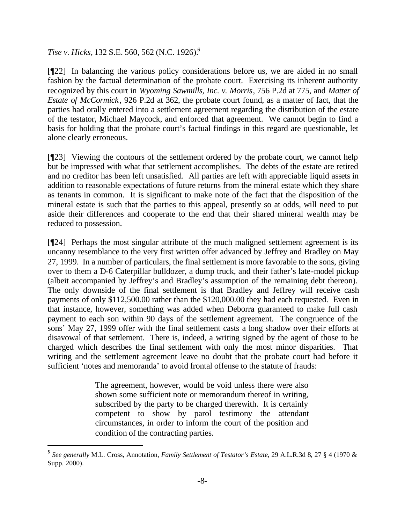*Tise v. Hicks,* 132 S.E. 560, 562 (N.C. 1926).<sup>6</sup>

l

[¶22] In balancing the various policy considerations before us, we are aided in no small fashion by the factual determination of the probate court. Exercising its inherent authority recognized by this court in *Wyoming Sawmills, Inc. v. Morris*, 756 P.2d at 775, and *Matter of Estate of McCormick*, 926 P.2d at 362, the probate court found, as a matter of fact, that the parties had orally entered into a settlement agreement regarding the distribution of the estate of the testator, Michael Maycock, and enforced that agreement. We cannot begin to find a basis for holding that the probate court's factual findings in this regard are questionable, let alone clearly erroneous.

[¶23] Viewing the contours of the settlement ordered by the probate court, we cannot help but be impressed with what that settlement accomplishes. The debts of the estate are retired and no creditor has been left unsatisfied. All parties are left with appreciable liquid assets in addition to reasonable expectations of future returns from the mineral estate which they share as tenants in common. It is significant to make note of the fact that the disposition of the mineral estate is such that the parties to this appeal, presently so at odds, will need to put aside their differences and cooperate to the end that their shared mineral wealth may be reduced to possession.

[¶24] Perhaps the most singular attribute of the much maligned settlement agreement is its uncanny resemblance to the very first written offer advanced by Jeffrey and Bradley on May 27, 1999. In a number of particulars, the final settlement is more favorable to the sons, giving over to them a D-6 Caterpillar bulldozer, a dump truck, and their father's late-model pickup (albeit accompanied by Jeffrey's and Bradley's assumption of the remaining debt thereon). The only downside of the final settlement is that Bradley and Jeffrey will receive cash payments of only \$112,500.00 rather than the \$120,000.00 they had each requested. Even in that instance, however, something was added when Deborra guaranteed to make full cash payment to each son within 90 days of the settlement agreement. The congruence of the sons' May 27, 1999 offer with the final settlement casts a long shadow over their efforts at disavowal of that settlement. There is, indeed, a writing signed by the agent of those to be charged which describes the final settlement with only the most minor disparities. That writing and the settlement agreement leave no doubt that the probate court had before it sufficient 'notes and memoranda' to avoid frontal offense to the statute of frauds:

> The agreement, however, would be void unless there were also shown some sufficient note or memorandum thereof in writing, subscribed by the party to be charged therewith. It is certainly competent to show by parol testimony the attendant circumstances, in order to inform the court of the position and condition of the contracting parties.

<sup>6</sup> *See generally* M.L. Cross, Annotation, *Family Settlement of Testator's Estate*, 29 A.L.R.3d 8, 27 § 4 (1970 & Supp. 2000).